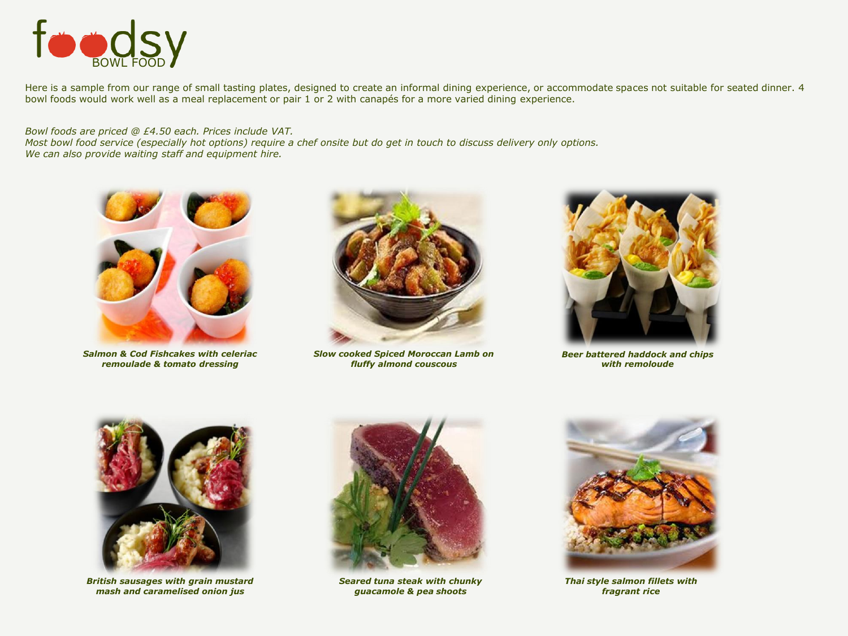

Here is a sample from our range of small tasting plates, designed to create an informal dining experience, or accommodate spaces not suitable for seated dinner. 4 bowl foods would work well as a meal replacement or pair 1 or 2 with canapés for a more varied dining experience.

*Bowl foods are priced @ £4.50 each. Prices include VAT.* 

*Most bowl food service (especially hot options) require a chef onsite but do get in touch to discuss delivery only options. We can also provide waiting staff and equipment hire.* 



*Salmon & Cod Fishcakes with celeriac remoulade & tomato dressing*



*Slow cooked Spiced Moroccan Lamb on fluffy almond couscous* 



*Beer battered haddock and chips with remoloude*



*British sausages with grain mustard mash and caramelised onion jus*



*Seared tuna steak with chunky guacamole & pea shoots* 



*Thai style salmon fillets with fragrant rice*